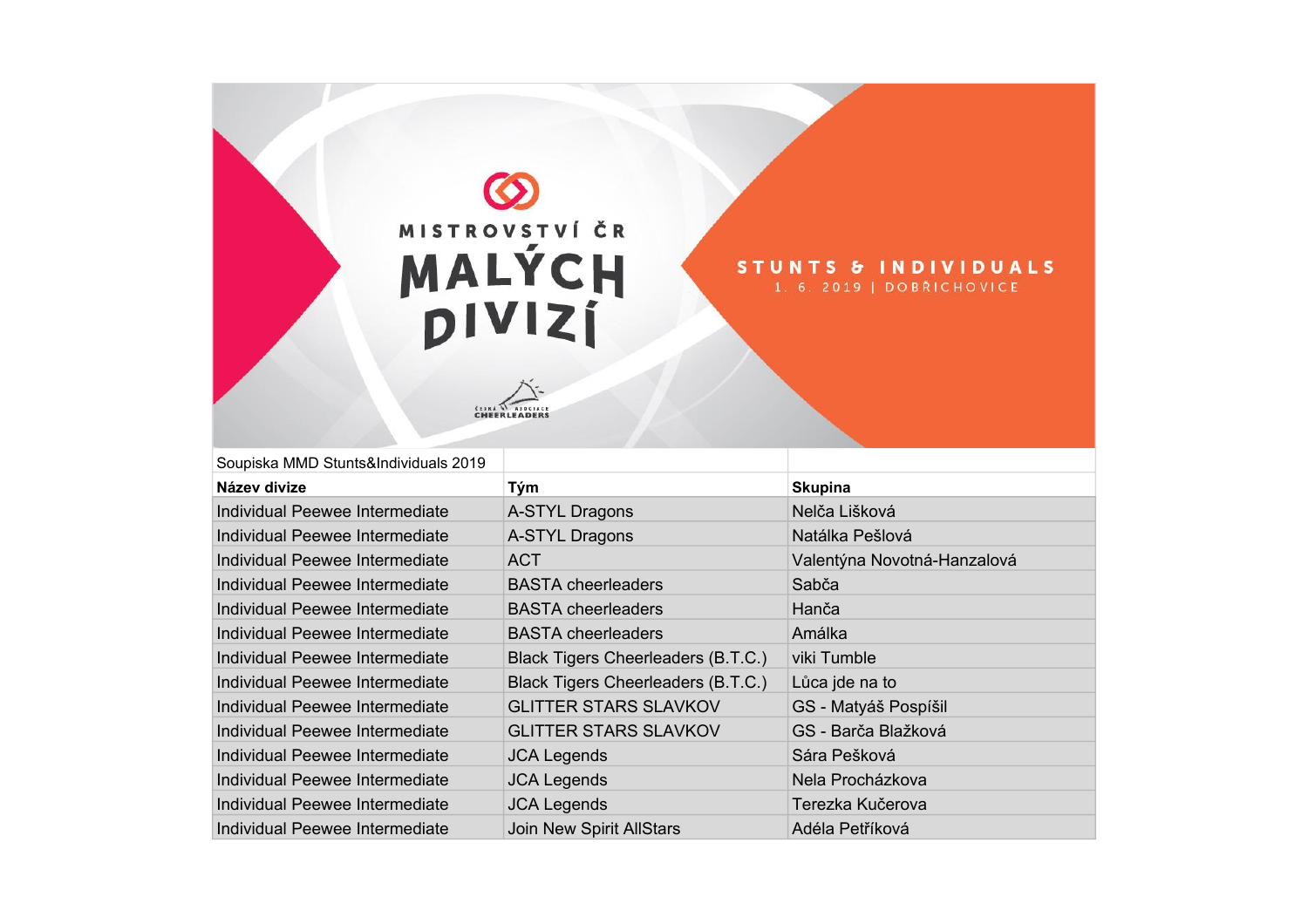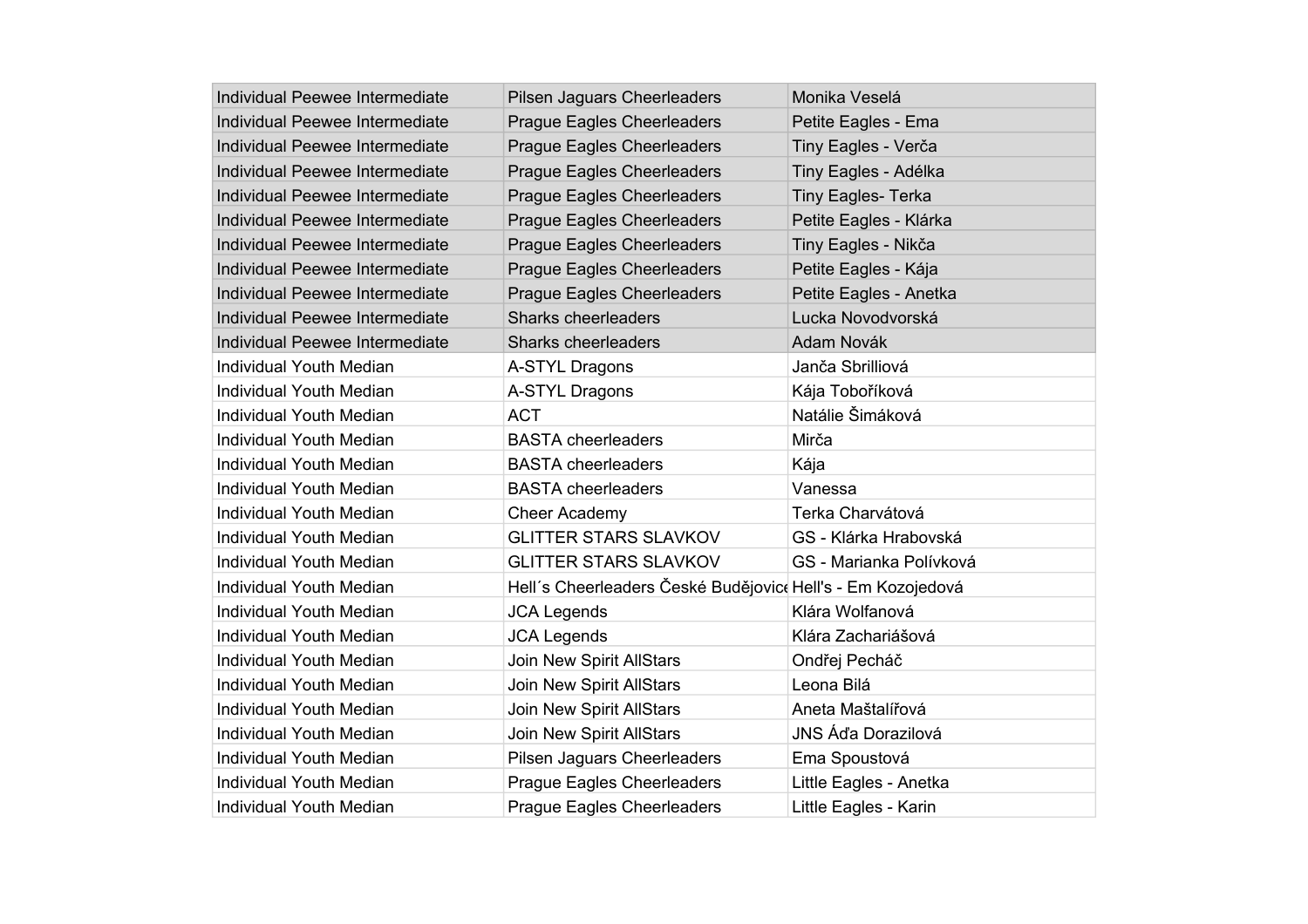| Individual Peewee Intermediate | <b>Pilsen Jaguars Cheerleaders</b>                          | Monika Veselá             |
|--------------------------------|-------------------------------------------------------------|---------------------------|
| Individual Peewee Intermediate | <b>Prague Eagles Cheerleaders</b>                           | Petite Eagles - Ema       |
| Individual Peewee Intermediate | <b>Prague Eagles Cheerleaders</b>                           | Tiny Eagles - Verča       |
| Individual Peewee Intermediate | <b>Prague Eagles Cheerleaders</b>                           | Tiny Eagles - Adélka      |
| Individual Peewee Intermediate | <b>Prague Eagles Cheerleaders</b>                           | <b>Tiny Eagles- Terka</b> |
| Individual Peewee Intermediate | <b>Prague Eagles Cheerleaders</b>                           | Petite Eagles - Klárka    |
| Individual Peewee Intermediate | <b>Prague Eagles Cheerleaders</b>                           | Tiny Eagles - Nikča       |
| Individual Peewee Intermediate | <b>Prague Eagles Cheerleaders</b>                           | Petite Eagles - Kája      |
| Individual Peewee Intermediate | <b>Prague Eagles Cheerleaders</b>                           | Petite Eagles - Anetka    |
| Individual Peewee Intermediate | Sharks cheerleaders                                         | Lucka Novodvorská         |
| Individual Peewee Intermediate | Sharks cheerleaders                                         | Adam Novák                |
| <b>Individual Youth Median</b> | A-STYL Dragons                                              | Janča Sbrilliová          |
| <b>Individual Youth Median</b> | A-STYL Dragons                                              | Kája Toboříková           |
| Individual Youth Median        | <b>ACT</b>                                                  | Natálie Šimáková          |
| <b>Individual Youth Median</b> | <b>BASTA cheerleaders</b>                                   | Mirča                     |
| Individual Youth Median        | <b>BASTA</b> cheerleaders                                   | Kája                      |
| <b>Individual Youth Median</b> | <b>BASTA</b> cheerleaders                                   | Vanessa                   |
| Individual Youth Median        | Cheer Academy                                               | Terka Charvátová          |
| <b>Individual Youth Median</b> | <b>GLITTER STARS SLAVKOV</b>                                | GS - Klárka Hrabovská     |
| <b>Individual Youth Median</b> | <b>GLITTER STARS SLAVKOV</b>                                | GS - Marianka Polívková   |
| <b>Individual Youth Median</b> | Hell's Cheerleaders České Budějovice Hell's - Em Kozojedová |                           |
| <b>Individual Youth Median</b> | <b>JCA Legends</b>                                          | Klára Wolfanová           |
| <b>Individual Youth Median</b> | <b>JCA Legends</b>                                          | Klára Zachariášová        |
| <b>Individual Youth Median</b> | Join New Spirit AllStars                                    | Ondřej Pecháč             |
| <b>Individual Youth Median</b> | Join New Spirit AllStars                                    | Leona Bilá                |
| <b>Individual Youth Median</b> | Join New Spirit AllStars                                    | Aneta Maštalířová         |
| <b>Individual Youth Median</b> | Join New Spirit AllStars                                    | JNS Áďa Dorazilová        |
| <b>Individual Youth Median</b> | Pilsen Jaguars Cheerleaders                                 | Ema Spoustová             |
| <b>Individual Youth Median</b> | Prague Eagles Cheerleaders                                  | Little Eagles - Anetka    |
| <b>Individual Youth Median</b> | <b>Prague Eagles Cheerleaders</b>                           | Little Eagles - Karin     |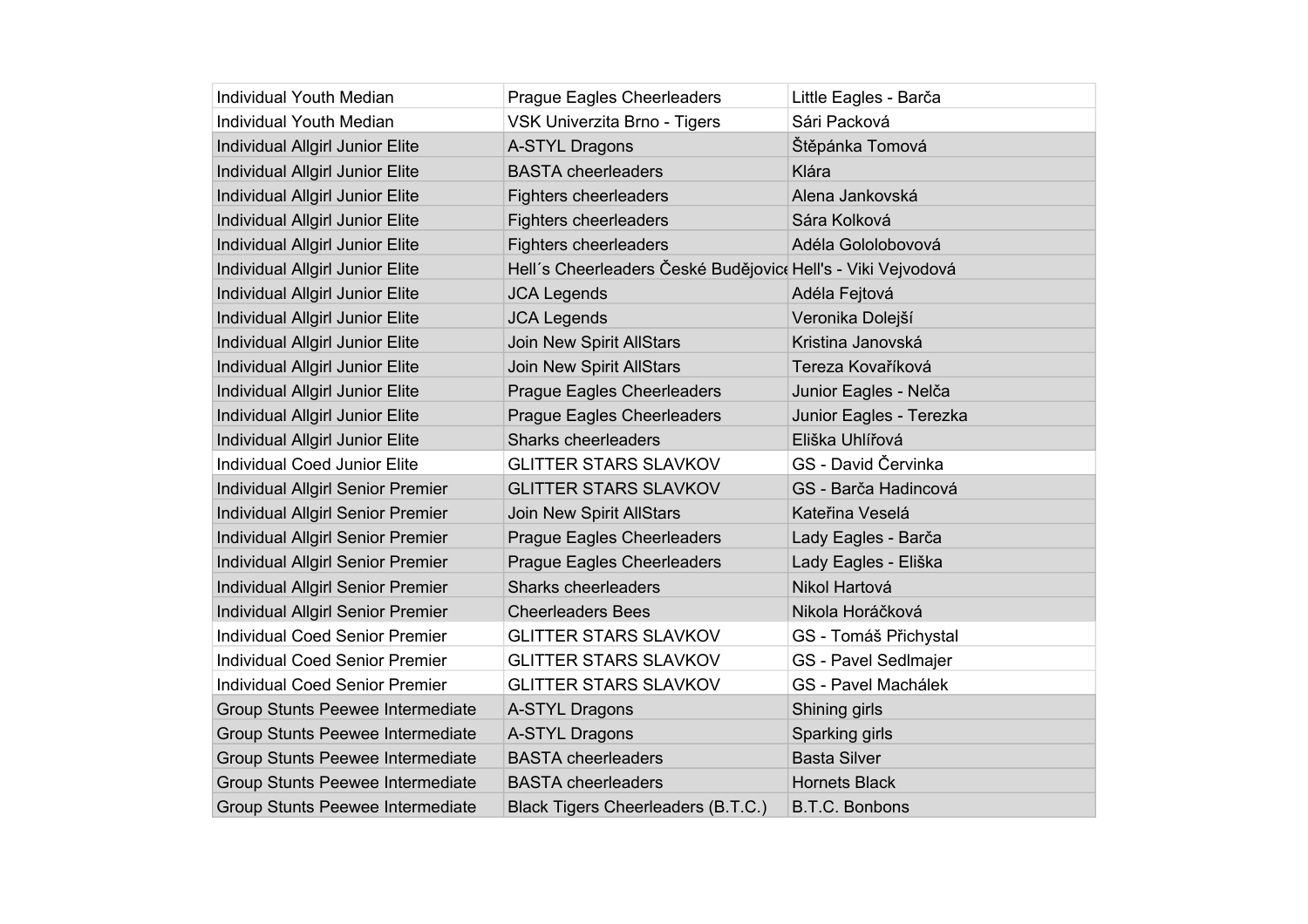| <b>Individual Youth Median</b>           | Prague Eagles Cheerleaders                                   | Little Eagles - Barča   |
|------------------------------------------|--------------------------------------------------------------|-------------------------|
| <b>Individual Youth Median</b>           | VSK Univerzita Brno - Tigers                                 | Sári Packová            |
| Individual Allgirl Junior Elite          | A-STYL Dragons                                               | Štěpánka Tomová         |
| Individual Allgirl Junior Elite          | <b>BASTA cheerleaders</b>                                    | Klára                   |
| Individual Allgirl Junior Elite          | <b>Fighters cheerleaders</b>                                 | Alena Jankovská         |
| Individual Allgirl Junior Elite          | <b>Fighters cheerleaders</b>                                 | Sára Kolková            |
| Individual Allgirl Junior Elite          | <b>Fighters cheerleaders</b>                                 | Adéla Gololobovová      |
| Individual Allgirl Junior Elite          | Hell's Cheerleaders České Budějovice Hell's - Viki Vejvodová |                         |
| Individual Allgirl Junior Elite          | <b>JCA Legends</b>                                           | Adéla Fejtová           |
| Individual Allgirl Junior Elite          | <b>JCA Legends</b>                                           | Veronika Dolejší        |
| Individual Allgirl Junior Elite          | Join New Spirit AllStars                                     | Kristina Janovská       |
| Individual Allgirl Junior Elite          | Join New Spirit AllStars                                     | Tereza Kovaříková       |
| Individual Allgirl Junior Elite          | <b>Prague Eagles Cheerleaders</b>                            | Junior Eagles - Nelča   |
| Individual Allgirl Junior Elite          | <b>Prague Eagles Cheerleaders</b>                            | Junior Eagles - Terezka |
| Individual Allgirl Junior Elite          | Sharks cheerleaders                                          | Eliška Uhlířová         |
| <b>Individual Coed Junior Elite</b>      | <b>GLITTER STARS SLAVKOV</b>                                 | GS - David Červinka     |
| Individual Allgirl Senior Premier        | <b>GLITTER STARS SLAVKOV</b>                                 | GS - Barča Hadincová    |
| Individual Allgirl Senior Premier        | <b>Join New Spirit AllStars</b>                              | Kateřina Veselá         |
| <b>Individual Allgirl Senior Premier</b> | <b>Prague Eagles Cheerleaders</b>                            | Lady Eagles - Barča     |
| Individual Allgirl Senior Premier        | <b>Prague Eagles Cheerleaders</b>                            | Lady Eagles - Eliška    |
| Individual Allgirl Senior Premier        | <b>Sharks cheerleaders</b>                                   | Nikol Hartová           |
| <b>Individual Allgirl Senior Premier</b> | <b>Cheerleaders Bees</b>                                     | Nikola Horáčková        |
| Individual Coed Senior Premier           | <b>GLITTER STARS SLAVKOV</b>                                 | GS - Tomáš Přichystal   |
| Individual Coed Senior Premier           | <b>GLITTER STARS SLAVKOV</b>                                 | GS - Pavel Sedlmajer    |
| <b>Individual Coed Senior Premier</b>    | <b>GLITTER STARS SLAVKOV</b>                                 | GS - Pavel Machálek     |
| Group Stunts Peewee Intermediate         | A-STYL Dragons                                               | Shining girls           |
| Group Stunts Peewee Intermediate         | A-STYL Dragons                                               | Sparking girls          |
| Group Stunts Peewee Intermediate         | <b>BASTA cheerleaders</b>                                    | <b>Basta Silver</b>     |
| Group Stunts Peewee Intermediate         | <b>BASTA cheerleaders</b>                                    | <b>Hornets Black</b>    |
| Group Stunts Peewee Intermediate         | Black Tigers Cheerleaders (B.T.C.)                           | B.T.C. Bonbons          |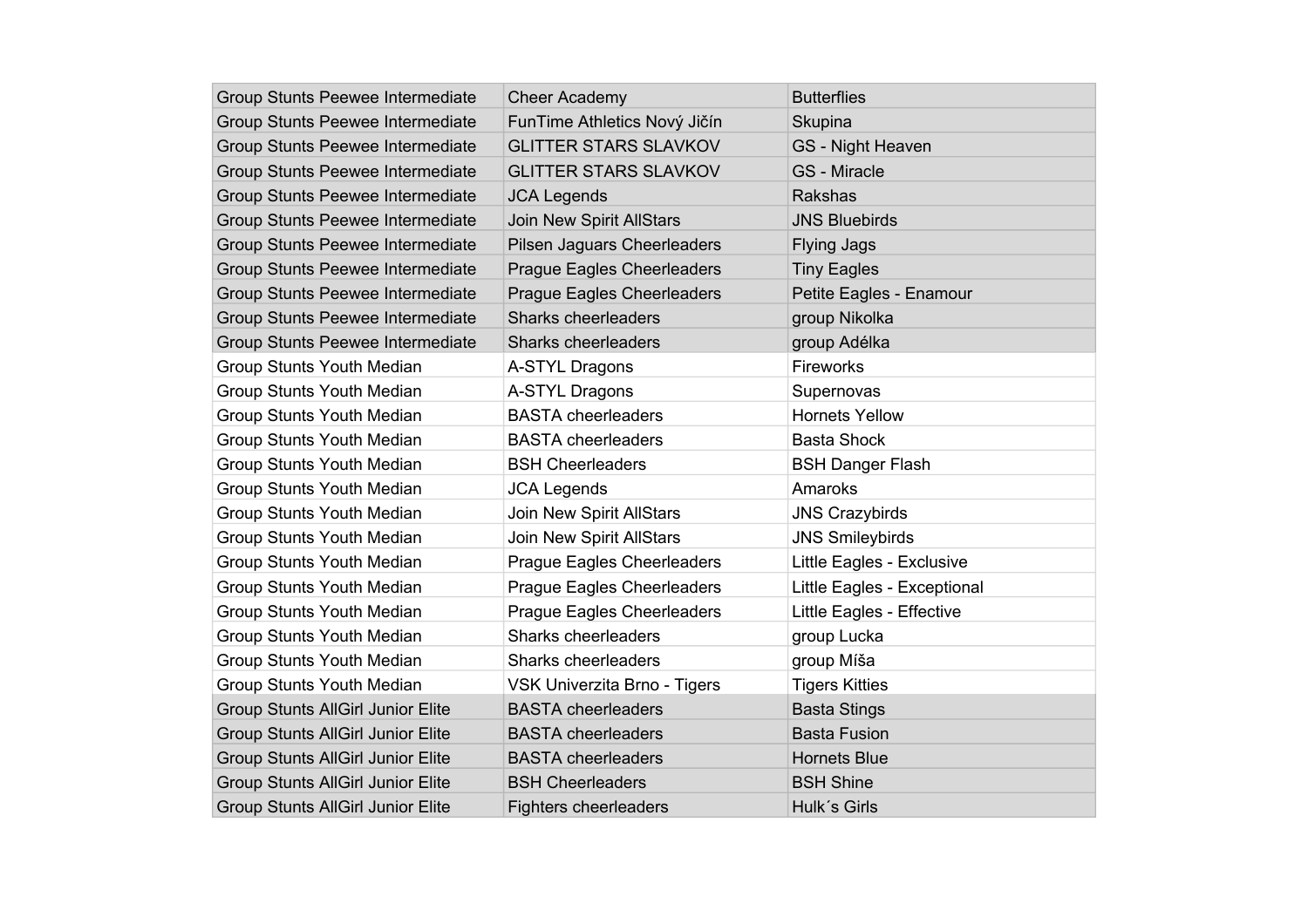| Group Stunts Peewee Intermediate         | <b>Cheer Academy</b>              | <b>Butterflies</b>          |
|------------------------------------------|-----------------------------------|-----------------------------|
| Group Stunts Peewee Intermediate         | FunTime Athletics Nový Jičín      | Skupina                     |
| Group Stunts Peewee Intermediate         | <b>GLITTER STARS SLAVKOV</b>      | <b>GS</b> - Night Heaven    |
| Group Stunts Peewee Intermediate         | <b>GLITTER STARS SLAVKOV</b>      | <b>GS</b> - Miracle         |
| Group Stunts Peewee Intermediate         | <b>JCA Legends</b>                | Rakshas                     |
| Group Stunts Peewee Intermediate         | <b>Join New Spirit AllStars</b>   | <b>JNS Bluebirds</b>        |
| Group Stunts Peewee Intermediate         | Pilsen Jaguars Cheerleaders       | <b>Flying Jags</b>          |
| Group Stunts Peewee Intermediate         | <b>Prague Eagles Cheerleaders</b> | <b>Tiny Eagles</b>          |
| Group Stunts Peewee Intermediate         | <b>Prague Eagles Cheerleaders</b> | Petite Eagles - Enamour     |
| Group Stunts Peewee Intermediate         | <b>Sharks cheerleaders</b>        | group Nikolka               |
| Group Stunts Peewee Intermediate         | Sharks cheerleaders               | group Adélka                |
| Group Stunts Youth Median                | A-STYL Dragons                    | Fireworks                   |
| Group Stunts Youth Median                | A-STYL Dragons                    | Supernovas                  |
| Group Stunts Youth Median                | <b>BASTA</b> cheerleaders         | <b>Hornets Yellow</b>       |
| Group Stunts Youth Median                | <b>BASTA cheerleaders</b>         | <b>Basta Shock</b>          |
| Group Stunts Youth Median                | <b>BSH Cheerleaders</b>           | <b>BSH Danger Flash</b>     |
| Group Stunts Youth Median                | <b>JCA Legends</b>                | Amaroks                     |
| Group Stunts Youth Median                | Join New Spirit AllStars          | <b>JNS Crazybirds</b>       |
| Group Stunts Youth Median                | <b>Join New Spirit AllStars</b>   | <b>JNS Smileybirds</b>      |
| Group Stunts Youth Median                | <b>Prague Eagles Cheerleaders</b> | Little Eagles - Exclusive   |
| Group Stunts Youth Median                | Prague Eagles Cheerleaders        | Little Eagles - Exceptional |
| Group Stunts Youth Median                | <b>Prague Eagles Cheerleaders</b> | Little Eagles - Effective   |
| Group Stunts Youth Median                | Sharks cheerleaders               | group Lucka                 |
| Group Stunts Youth Median                | Sharks cheerleaders               | group Míša                  |
| Group Stunts Youth Median                | VSK Univerzita Brno - Tigers      | <b>Tigers Kitties</b>       |
| <b>Group Stunts AllGirl Junior Elite</b> | <b>BASTA cheerleaders</b>         | <b>Basta Stings</b>         |
| Group Stunts AllGirl Junior Elite        | <b>BASTA cheerleaders</b>         | <b>Basta Fusion</b>         |
| Group Stunts AllGirl Junior Elite        | <b>BASTA cheerleaders</b>         | <b>Hornets Blue</b>         |
| Group Stunts AllGirl Junior Elite        | <b>BSH Cheerleaders</b>           | <b>BSH Shine</b>            |
| <b>Group Stunts AllGirl Junior Elite</b> | <b>Fighters cheerleaders</b>      | Hulk's Girls                |